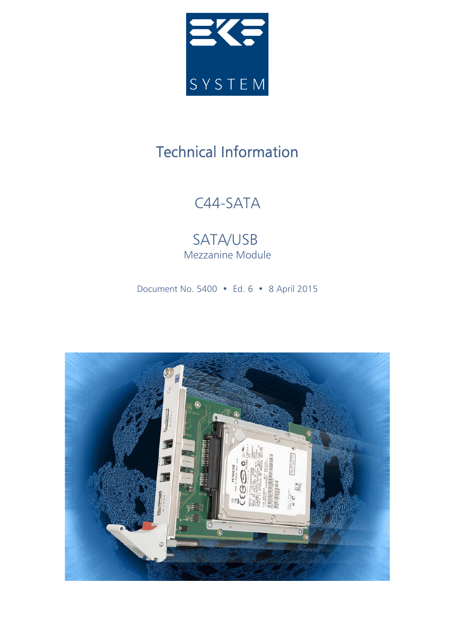

# Technical Information

# C44-SATA

SATA/USB Mezzanine Module

Document No. 5400 • Ed. 6 • 8 April 2015

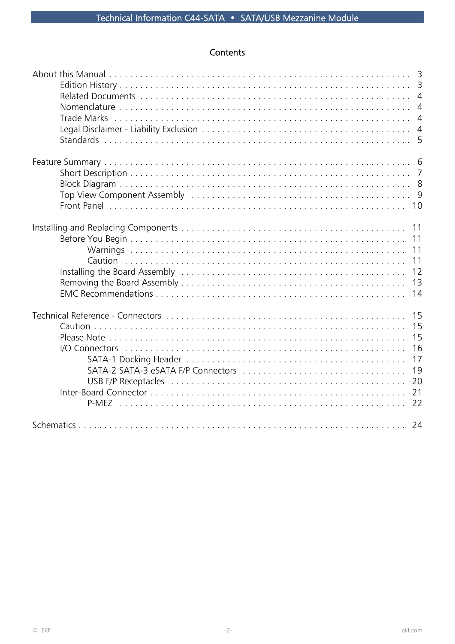# Contents

| <b>Trade Marks</b>                                                                                                    | $\overline{4}$<br>$\overline{4}$ |
|-----------------------------------------------------------------------------------------------------------------------|----------------------------------|
| Top View Component Assembly (and account account of the contract of the contract of the View Component Assembly<br>10 |                                  |
| 11<br>11<br>11<br>11<br>12<br>13<br>14                                                                                |                                  |
| 15<br>16<br>20<br>21<br>22                                                                                            | 15<br>15<br>17<br>19             |
|                                                                                                                       |                                  |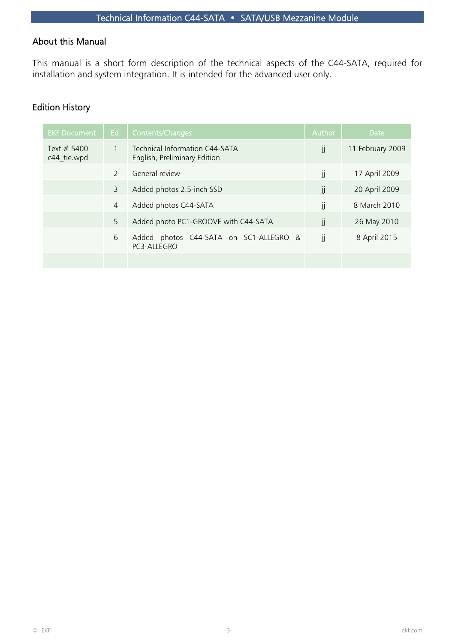## About this Manual

This manual is a short form description of the technical aspects of the C44-SATA, required for installation and system integration. It is intended for the advanced user only.

## Edition History

| <b>EKF Document</b>          | Ed.           | Contents/Changes                                               | Author        | <b>Date</b>      |
|------------------------------|---------------|----------------------------------------------------------------|---------------|------------------|
| Text $# 5400$<br>c44 tie.wpd | 1             | Technical Information C44-SATA<br>English, Preliminary Edition | jj            | 11 February 2009 |
|                              | $\mathcal{P}$ | General review                                                 | JJ            | 17 April 2009    |
|                              | 3             | Added photos 2.5-inch SSD                                      | jj            | 20 April 2009    |
|                              | 4             | Added photos C44-SATA                                          | JJ            | 8 March 2010     |
|                              | 5             | Added photo PC1-GROOVE with C44-SATA                           | $\mathbf{  }$ | 26 May 2010      |
|                              | 6             | photos C44-SATA on SC1-ALLEGRO &<br>Added<br>PC3-ALLEGRO       | jj            | 8 April 2015     |
|                              |               |                                                                |               |                  |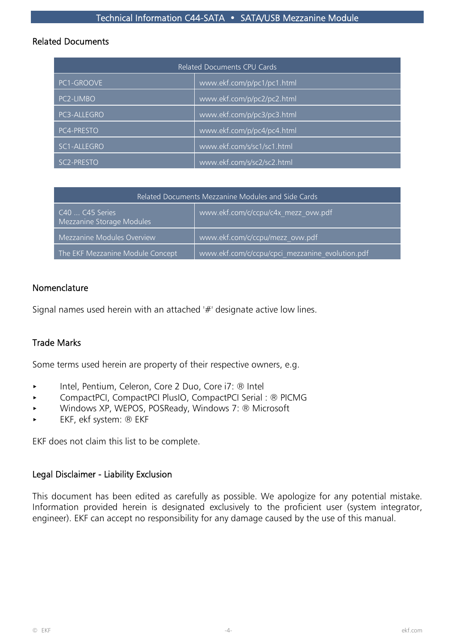#### Related Documents

| Related Documents CPU Cards |                            |  |  |
|-----------------------------|----------------------------|--|--|
| PC1-GROOVE                  | www.ekf.com/p/pc1/pc1.html |  |  |
| PC2-LIMBO                   | www.ekf.com/p/pc2/pc2.html |  |  |
| PC3-ALLEGRO                 | www.ekf.com/p/pc3/pc3.html |  |  |
| PC4-PRESTO                  | www.ekf.com/p/pc4/pc4.html |  |  |
| SC1-ALLEGRO                 | www.ekf.com/s/sc1/sc1.html |  |  |
| SC <sub>2</sub> -PRESTO     | www.ekf.com/s/sc2/sc2.html |  |  |

|                                                                                     | Related Documents Mezzanine Modules and Side Cards |                                                 |  |  |  |
|-------------------------------------------------------------------------------------|----------------------------------------------------|-------------------------------------------------|--|--|--|
| www.ekf.com/c/ccpu/c4x mezz ovw.pdf<br>C40  C45 Series<br>Mezzanine Storage Modules |                                                    |                                                 |  |  |  |
|                                                                                     | Mezzanine Modules Overview                         | www.ekf.com/c/ccpu/mezz_ovw.pdf                 |  |  |  |
|                                                                                     | The EKF Mezzanine Module Concept                   | www.ekf.com/c/ccpu/cpci mezzanine evolution.pdf |  |  |  |

## Nomenclature

Signal names used herein with an attached '#' designate active low lines.

## Trade Marks

Some terms used herein are property of their respective owners, e.g.

- ▶ Intel, Pentium, Celeron, Core 2 Duo, Core i7: ® Intel
- < CompactPCI, CompactPCI PlusIO, CompactPCI Serial : ® PICMG
- ▶ Windows XP, WEPOS, POSReady, Windows 7: ® Microsoft
- < EKF, ekf system: ® EKF

EKF does not claim this list to be complete.

#### Legal Disclaimer - Liability Exclusion

This document has been edited as carefully as possible. We apologize for any potential mistake. Information provided herein is designated exclusively to the proficient user (system integrator, engineer). EKF can accept no responsibility for any damage caused by the use of this manual.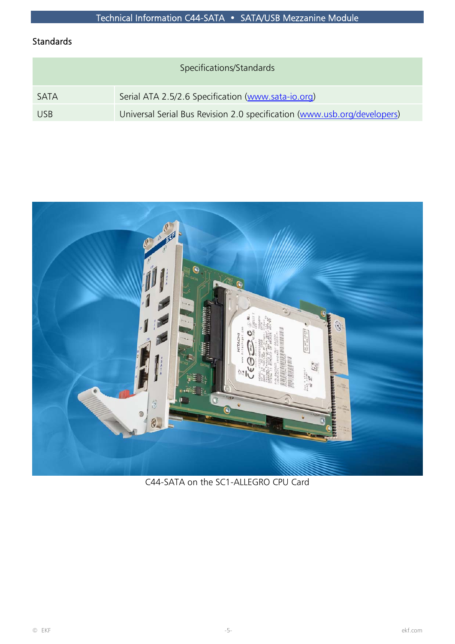# Standards

| Specifications/Standards |                                                                          |  |  |
|--------------------------|--------------------------------------------------------------------------|--|--|
| <b>SATA</b>              | Serial ATA 2.5/2.6 Specification (www.sata-io.org)                       |  |  |
| <b>USB</b>               | Universal Serial Bus Revision 2.0 specification (www.usb.org/developers) |  |  |



C44-SATA on the SC1-ALLEGRO CPU Card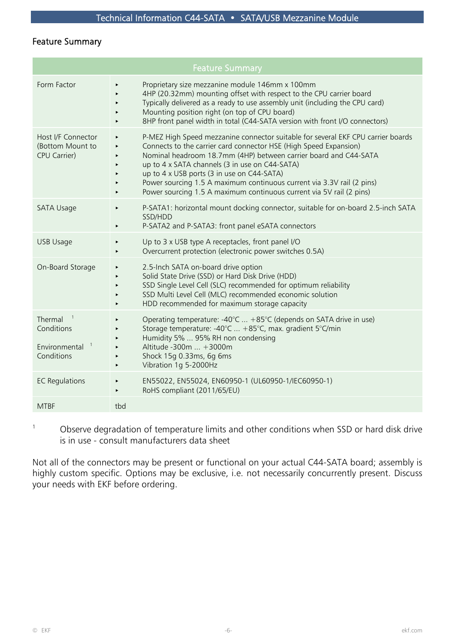## Feature Summary

|                                                                      | <b>Feature Summary</b>                                                                                                                                                                                                                                                                                                                                                                                                                                                                                    |  |  |  |  |
|----------------------------------------------------------------------|-----------------------------------------------------------------------------------------------------------------------------------------------------------------------------------------------------------------------------------------------------------------------------------------------------------------------------------------------------------------------------------------------------------------------------------------------------------------------------------------------------------|--|--|--|--|
| Form Factor                                                          | Proprietary size mezzanine module 146mm x 100mm<br>$\blacktriangleright$<br>4HP (20.32mm) mounting offset with respect to the CPU carrier board<br>Typically delivered as a ready to use assembly unit (including the CPU card)<br>Mounting position right (on top of CPU board)<br>8HP front panel width in total (C44-SATA version with front I/O connectors)                                                                                                                                           |  |  |  |  |
| Host I/F Connector<br>(Bottom Mount to<br>CPU Carrier)               | P-MEZ High Speed mezzanine connector suitable for several EKF CPU carrier boards<br>$\blacktriangleright$<br>Connects to the carrier card connector HSE (High Speed Expansion)<br>Nominal headroom 18.7mm (4HP) between carrier board and C44-SATA<br>up to 4 x SATA channels (3 in use on C44-SATA)<br>up to 4 x USB ports (3 in use on C44-SATA)<br>Power sourcing 1.5 A maximum continuous current via 3.3V rail (2 pins)<br>Power sourcing 1.5 A maximum continuous current via 5V rail (2 pins)<br>▶ |  |  |  |  |
| SATA Usage                                                           | P-SATA1: horizontal mount docking connector, suitable for on-board 2.5-inch SATA<br>▶<br>SSD/HDD<br>P-SATA2 and P-SATA3: front panel eSATA connectors<br>▶                                                                                                                                                                                                                                                                                                                                                |  |  |  |  |
| USB Usage                                                            | Up to 3 x USB type A receptacles, front panel I/O<br>Overcurrent protection (electronic power switches 0.5A)<br>▶                                                                                                                                                                                                                                                                                                                                                                                         |  |  |  |  |
| On-Board Storage                                                     | 2.5-Inch SATA on-board drive option<br>Solid State Drive (SSD) or Hard Disk Drive (HDD)<br>SSD Single Level Cell (SLC) recommended for optimum reliability<br>SSD Multi Level Cell (MLC) recommended economic solution<br>HDD recommended for maximum storage capacity<br>$\blacktriangleright$                                                                                                                                                                                                           |  |  |  |  |
| Thermal<br>Conditions<br>$\mathbf{1}$<br>Environmental<br>Conditions | Operating temperature: -40°C $+85$ °C (depends on SATA drive in use)<br>Storage temperature: -40°C  +85°C, max. gradient 5°C/min<br>Humidity 5%  95% RH non condensing<br>Altitude -300m  +3000m<br>$\blacktriangleright$<br>Shock 15g 0.33ms, 6g 6ms<br>$\blacktriangleright$<br>Vibration 1g 5-2000Hz<br>$\blacktriangleright$                                                                                                                                                                          |  |  |  |  |
| <b>EC Regulations</b>                                                | EN55022, EN55024, EN60950-1 (UL60950-1/IEC60950-1)<br>RoHS compliant (2011/65/EU)<br>$\blacktriangleright$                                                                                                                                                                                                                                                                                                                                                                                                |  |  |  |  |
| <b>MTBF</b>                                                          | tbd                                                                                                                                                                                                                                                                                                                                                                                                                                                                                                       |  |  |  |  |

 $1$  Observe degradation of temperature limits and other conditions when SSD or hard disk drive is in use - consult manufacturers data sheet

Not all of the connectors may be present or functional on your actual C44-SATA board; assembly is highly custom specific. Options may be exclusive, i.e. not necessarily concurrently present. Discuss your needs with EKF before ordering.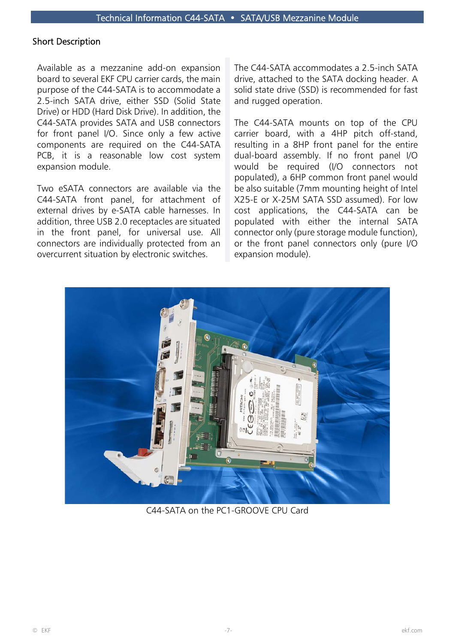## Short Description

Available as a mezzanine add-on expansion board to several EKF CPU carrier cards, the main purpose of the C44-SATA is to accommodate a 2.5-inch SATA drive, either SSD (Solid State Drive) or HDD (Hard Disk Drive). In addition, the C44-SATA provides SATA and USB connectors for front panel I/O. Since only a few active components are required on the C44-SATA PCB, it is a reasonable low cost system expansion module.

Two eSATA connectors are available via the C44-SATA front panel, for attachment of external drives by e-SATA cable harnesses. In addition, three USB 2.0 receptacles are situated in the front panel, for universal use. All connectors are individually protected from an overcurrent situation by electronic switches.

The C44-SATA accommodates a 2.5-inch SATA drive, attached to the SATA docking header. A solid state drive (SSD) is recommended for fast and rugged operation.

The C44-SATA mounts on top of the CPU carrier board, with a 4HP pitch off-stand, resulting in a 8HP front panel for the entire dual-board assembly. If no front panel I/O would be required (I/O connectors not populated), a 6HP common front panel would be also suitable (7mm mounting height of Intel X25-E or X-25M SATA SSD assumed). For low cost applications, the C44-SATA can be populated with either the internal SATA connector only (pure storage module function), or the front panel connectors only (pure I/O expansion module).



C44-SATA on the PC1-GROOVE CPU Card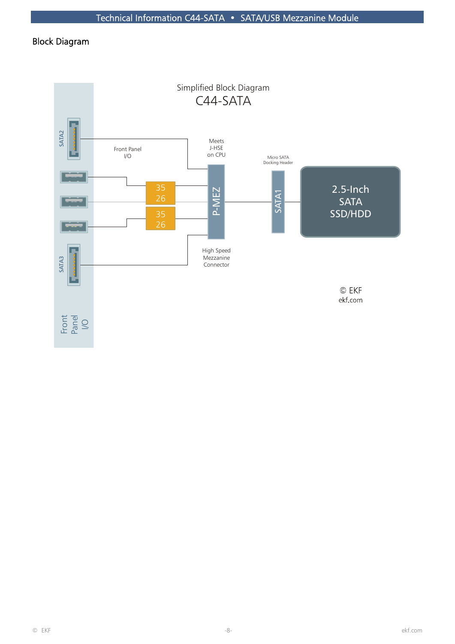# Block Diagram

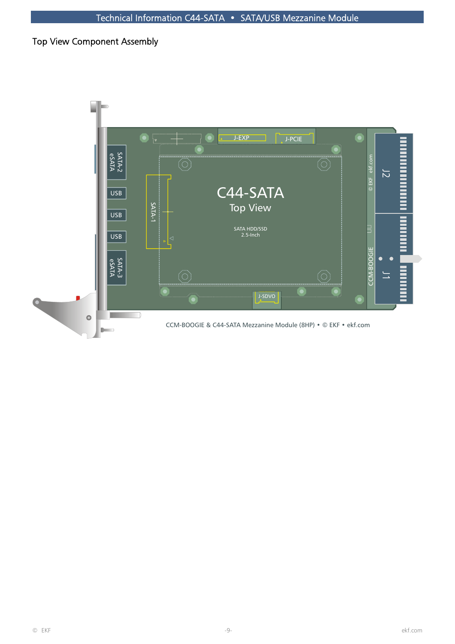## Top View Component Assembly

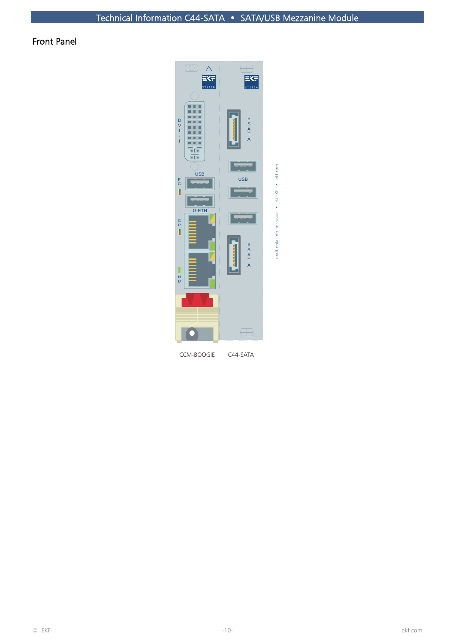# Front Panel



CCM-BOOGIE

C44-SATA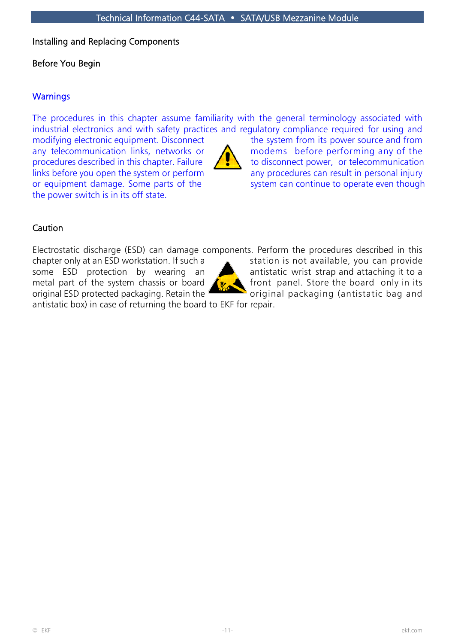## Installing and Replacing Components

## Before You Begin

## **Warnings**

The procedures in this chapter assume familiarity with the general terminology associated with industrial electronics and with safety practices and regulatory compliance required for using and

the power switch is in its off state.



modifying electronic equipment. Disconnect the system from its power source and from any telecommunication links, networks or  $\sum$  modems before performing any of the procedures described in this chapter. Failure  $\left| \int_{\mathbb{R}} \int_{\mathbb{R}} f(x) dx \right|$  to disconnect power, or telecommunication links before you open the system or perform  $\overline{\phantom{a}}$  any procedures can result in personal injury or equipment damage. Some parts of the system can continue to operate even though

## **Caution**

Electrostatic discharge (ESD) can damage components. Perform the procedures described in this

original ESD protected packaging. Retain the original packaging (antistatic bag and



chapter only at an ESD workstation. If such a station is not available, you can provide some ESD protection by wearing an **Alternative interest in the strap and attaching it to a** metal part of the system chassis or board  $\mathcal{L}_{\mathcal{P}}$  front panel. Store the board only in its

antistatic box) in case of returning the board to EKF for repair.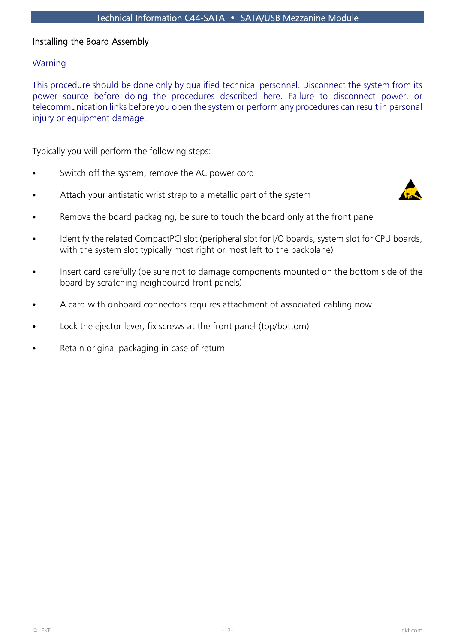## Installing the Board Assembly

## Warning

This procedure should be done only by qualified technical personnel. Disconnect the system from its power source before doing the procedures described here. Failure to disconnect power, or telecommunication links before you open the system or perform any procedures can result in personal injury or equipment damage.

Typically you will perform the following steps:

- Switch off the system, remove the AC power cord
- Attach your antistatic wrist strap to a metallic part of the system



- Remove the board packaging, be sure to touch the board only at the front panel
- Identify the related CompactPCI slot (peripheral slot for I/O boards, system slot for CPU boards, with the system slot typically most right or most left to the backplane)
- Insert card carefully (be sure not to damage components mounted on the bottom side of the board by scratching neighboured front panels)
- A card with onboard connectors requires attachment of associated cabling now
- Lock the ejector lever, fix screws at the front panel (top/bottom)
- Retain original packaging in case of return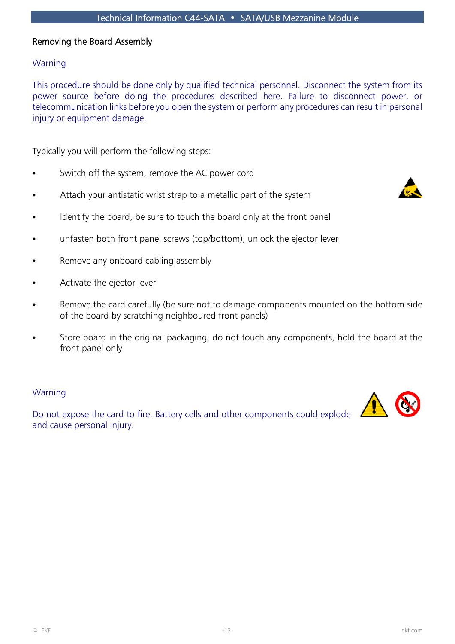## Removing the Board Assembly

## Warning

This procedure should be done only by qualified technical personnel. Disconnect the system from its power source before doing the procedures described here. Failure to disconnect power, or telecommunication links before you open the system or perform any procedures can result in personal injury or equipment damage.

Typically you will perform the following steps:

- Switch off the system, remove the AC power cord
- Attach your antistatic wrist strap to a metallic part of the system



- Identify the board, be sure to touch the board only at the front panel
- unfasten both front panel screws (top/bottom), unlock the ejector lever
- Remove any onboard cabling assembly
- Activate the ejector lever
- Remove the card carefully (be sure not to damage components mounted on the bottom side of the board by scratching neighboured front panels)
- Store board in the original packaging, do not touch any components, hold the board at the front panel only

#### Warning

Do not expose the card to fire. Battery cells and other components could explode and cause personal injury.

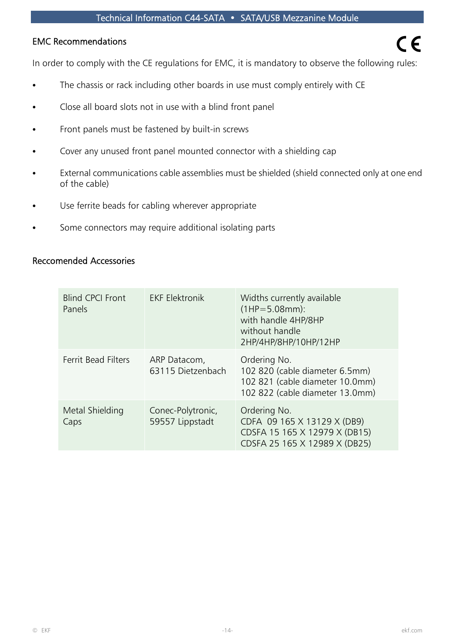## EMC Recommendations

In order to comply with the CE regulations for EMC, it is mandatory to observe the following rules:

- The chassis or rack including other boards in use must comply entirely with CE
- Close all board slots not in use with a blind front panel
- Front panels must be fastened by built-in screws
- Cover any unused front panel mounted connector with a shielding cap
- External communications cable assemblies must be shielded (shield connected only at one end of the cable)
- Use ferrite beads for cabling wherever appropriate
- Some connectors may require additional isolating parts

#### Reccomended Accessories

| <b>Blind CPCI Front</b><br>Panels | <b>EKF Elektronik</b>                | Widths currently available<br>$(1HP = 5.08mm):$<br>with handle 4HP/8HP<br>without handle<br>2HP/4HP/8HP/10HP/12HP    |
|-----------------------------------|--------------------------------------|----------------------------------------------------------------------------------------------------------------------|
| Ferrit Bead Filters               | ARP Datacom,<br>63115 Dietzenbach    | Ordering No.<br>102 820 (cable diameter 6.5mm)<br>102 821 (cable diameter 10.0mm)<br>102 822 (cable diameter 13.0mm) |
| Metal Shielding<br>Caps           | Conec-Polytronic,<br>59557 Lippstadt | Ordering No.<br>CDFA 09 165 X 13129 X (DB9)<br>CDSFA 15 165 X 12979 X (DB15)<br>CDSFA 25 165 X 12989 X (DB25)        |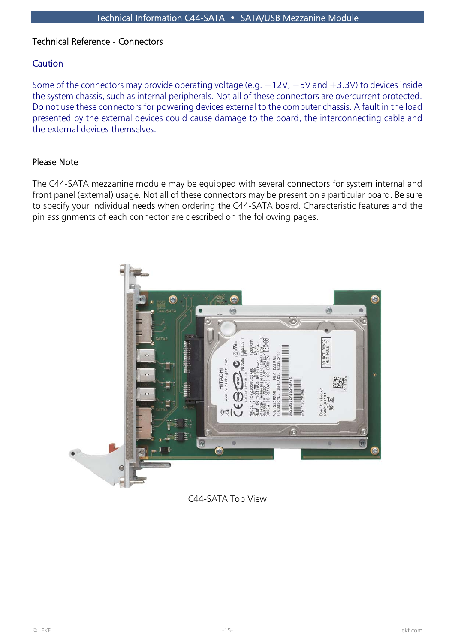## Technical Reference - Connectors

## **Caution**

Some of the connectors may provide operating voltage (e.g.  $+12V$ ,  $+5V$  and  $+3.3V$ ) to devices inside the system chassis, such as internal peripherals. Not all of these connectors are overcurrent protected. Do not use these connectors for powering devices external to the computer chassis. A fault in the load presented by the external devices could cause damage to the board, the interconnecting cable and the external devices themselves.

## Please Note

The C44-SATA mezzanine module may be equipped with several connectors for system internal and front panel (external) usage. Not all of these connectors may be present on a particular board. Be sure to specify your individual needs when ordering the C44-SATA board. Characteristic features and the pin assignments of each connector are described on the following pages.



C44-SATA Top View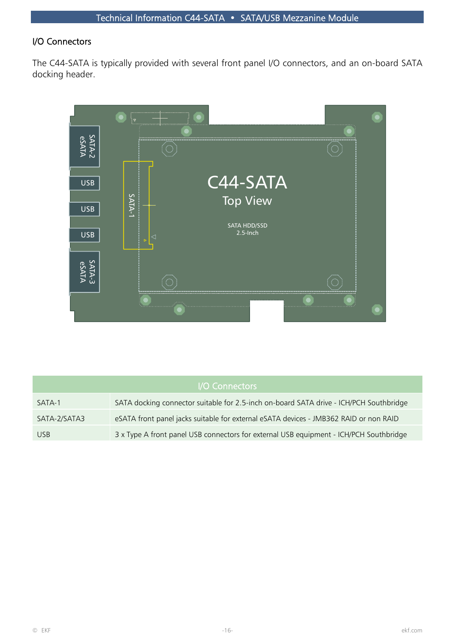## I/O Connectors

The C44-SATA is typically provided with several front panel I/O connectors, and an on-board SATA docking header.



| I/O Connectors |                                                                                        |  |  |  |
|----------------|----------------------------------------------------------------------------------------|--|--|--|
| SATA-1         | SATA docking connector suitable for 2.5-inch on-board SATA drive - ICH/PCH Southbridge |  |  |  |
| SATA-2/SATA3   | eSATA front panel jacks suitable for external eSATA devices - JMB362 RAID or non RAID  |  |  |  |
| <b>USB</b>     | 3 x Type A front panel USB connectors for external USB equipment - ICH/PCH Southbridge |  |  |  |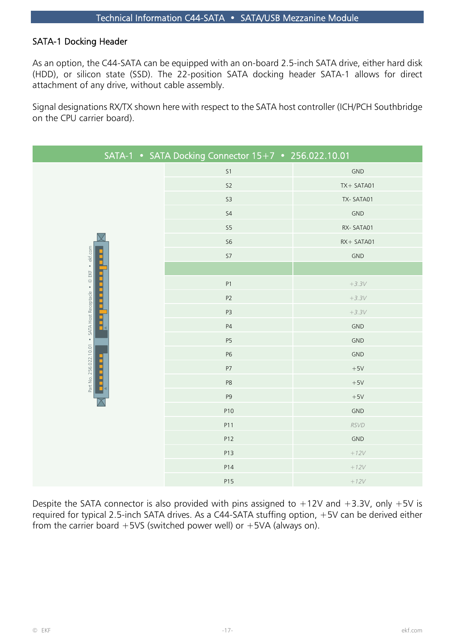## SATA-1 Docking Header

As an option, the C44-SATA can be equipped with an on-board 2.5-inch SATA drive, either hard disk (HDD), or silicon state (SSD). The 22-position SATA docking header SATA-1 allows for direct attachment of any drive, without cable assembly.

Signal designations RX/TX shown here with respect to the SATA host controller (ICH/PCH Southbridge on the CPU carrier board).

| SATA-1 • SATA Docking Connector 15+7 • 256.022.10.01                                                                                                                                                                                                                                                  |                |                |  |  |  |
|-------------------------------------------------------------------------------------------------------------------------------------------------------------------------------------------------------------------------------------------------------------------------------------------------------|----------------|----------------|--|--|--|
|                                                                                                                                                                                                                                                                                                       | S <sub>1</sub> | <b>GND</b>     |  |  |  |
|                                                                                                                                                                                                                                                                                                       | S2             | TX+ SATA01     |  |  |  |
|                                                                                                                                                                                                                                                                                                       | S <sub>3</sub> | TX-SATA01      |  |  |  |
|                                                                                                                                                                                                                                                                                                       | S <sub>4</sub> | GND            |  |  |  |
|                                                                                                                                                                                                                                                                                                       | S <sub>5</sub> | RX-SATA01      |  |  |  |
|                                                                                                                                                                                                                                                                                                       | S <sub>6</sub> | RX+ SATA01     |  |  |  |
|                                                                                                                                                                                                                                                                                                       | $S7\,$         | <b>GND</b>     |  |  |  |
| Part No. 256.022.10.01 . SATA Host Receptacle . © EKF . ekf.com                                                                                                                                                                                                                                       |                |                |  |  |  |
|                                                                                                                                                                                                                                                                                                       | P1             | $+3.3V$        |  |  |  |
|                                                                                                                                                                                                                                                                                                       | P2             | $+3.3V$        |  |  |  |
|                                                                                                                                                                                                                                                                                                       | P <sub>3</sub> | $+3.3V$        |  |  |  |
|                                                                                                                                                                                                                                                                                                       | P4             | $\mathsf{GND}$ |  |  |  |
|                                                                                                                                                                                                                                                                                                       | <b>P5</b>      | <b>GND</b>     |  |  |  |
|                                                                                                                                                                                                                                                                                                       | P <sub>6</sub> | <b>GND</b>     |  |  |  |
|                                                                                                                                                                                                                                                                                                       | P7             | $+5\mathrm{V}$ |  |  |  |
|                                                                                                                                                                                                                                                                                                       | P <sub>8</sub> | $+5V$          |  |  |  |
|                                                                                                                                                                                                                                                                                                       | P <sub>9</sub> | $+5V$          |  |  |  |
|                                                                                                                                                                                                                                                                                                       | P10            | <b>GND</b>     |  |  |  |
|                                                                                                                                                                                                                                                                                                       | P11            | <b>RSVD</b>    |  |  |  |
|                                                                                                                                                                                                                                                                                                       | P12            | GND            |  |  |  |
|                                                                                                                                                                                                                                                                                                       | P13            | $+12V$         |  |  |  |
|                                                                                                                                                                                                                                                                                                       | P14            | $+12V$         |  |  |  |
|                                                                                                                                                                                                                                                                                                       | P15            | $+12V$         |  |  |  |
| Despite the SATA connector is also provided with pins assigned to $+12V$ and $+3.3V$ , only $+5V$ is<br>required for typical 2.5-inch SATA drives. As a C44-SATA stuffing option, +5V can be derived either<br>from the carrier board $+5\sqrt{5}$ (switched power well) or $+5\sqrt{4}$ (always on). |                |                |  |  |  |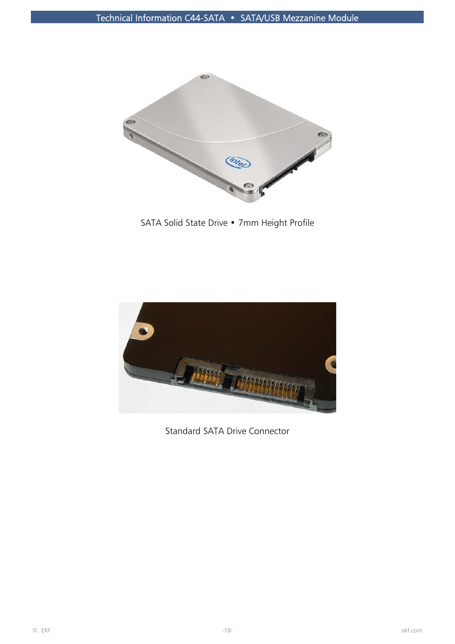

SATA Solid State Drive • 7mm Height Profile



Standard SATA Drive Connector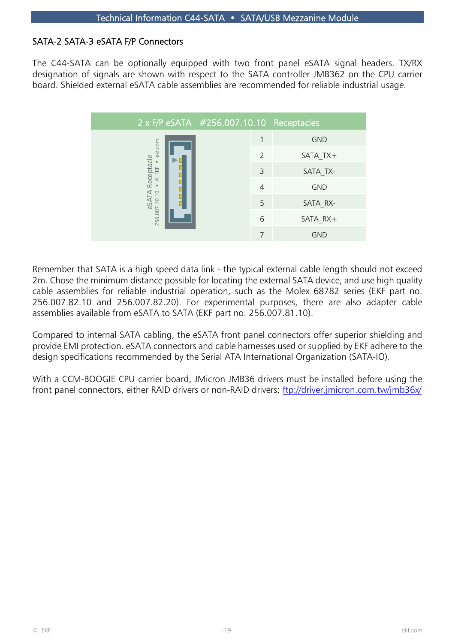## SATA-2 SATA-3 eSATA F/P Connectors

The C44-SATA can be optionally equipped with two front panel eSATA signal headers. TX/RX designation of signals are shown with respect to the SATA controller JMB362 on the CPU carrier board. Shielded external eSATA cable assemblies are recommended for reliable industrial usage.

|                                                                                                                                                                                                                                                                                                                                                                                                                                                                                                                                                                                                                                                                                                                                                                                           | 2 x F/P eSATA #256.007.10.10 Receptacles            |   |                |            |  |  |
|-------------------------------------------------------------------------------------------------------------------------------------------------------------------------------------------------------------------------------------------------------------------------------------------------------------------------------------------------------------------------------------------------------------------------------------------------------------------------------------------------------------------------------------------------------------------------------------------------------------------------------------------------------------------------------------------------------------------------------------------------------------------------------------------|-----------------------------------------------------|---|----------------|------------|--|--|
|                                                                                                                                                                                                                                                                                                                                                                                                                                                                                                                                                                                                                                                                                                                                                                                           | eSATA Receptacle<br>256.007.10.10 • © EKF • ekf.com | 1 | <b>GND</b>     |            |  |  |
|                                                                                                                                                                                                                                                                                                                                                                                                                                                                                                                                                                                                                                                                                                                                                                                           |                                                     |   | $\overline{2}$ | SATA $TX+$ |  |  |
|                                                                                                                                                                                                                                                                                                                                                                                                                                                                                                                                                                                                                                                                                                                                                                                           |                                                     |   | $\overline{3}$ | SATA TX-   |  |  |
|                                                                                                                                                                                                                                                                                                                                                                                                                                                                                                                                                                                                                                                                                                                                                                                           |                                                     |   | $\overline{4}$ | <b>GND</b> |  |  |
|                                                                                                                                                                                                                                                                                                                                                                                                                                                                                                                                                                                                                                                                                                                                                                                           |                                                     |   | 5              | SATA RX-   |  |  |
|                                                                                                                                                                                                                                                                                                                                                                                                                                                                                                                                                                                                                                                                                                                                                                                           |                                                     |   | 6              | SATA RX+   |  |  |
|                                                                                                                                                                                                                                                                                                                                                                                                                                                                                                                                                                                                                                                                                                                                                                                           |                                                     |   | $\overline{7}$ | <b>GND</b> |  |  |
| Remember that SATA is a high speed data link - the typical external cable length should not exceec<br>2m. Chose the minimum distance possible for locating the external SATA device, and use high quality<br>cable assemblies for reliable industrial operation, such as the Molex 68782 series (EKF part no<br>256.007.82.10 and 256.007.82.20). For experimental purposes, there are also adapter cable<br>assemblies available from eSATA to SATA (EKF part no. 256.007.81.10).<br>Compared to internal SATA cabling, the eSATA front panel connectors offer superior shielding and<br>provide EMI protection. eSATA connectors and cable harnesses used or supplied by EKF adhere to the<br>design specifications recommended by the Serial ATA International Organization (SATA-IO). |                                                     |   |                |            |  |  |
| With a CCM-BOOGIE CPU carrier board, JMicron JMB36 drivers must be installed before using the<br>front panel connectors, either RAID drivers or non-RAID drivers: <u>ftp://driver.jmicron.com.tw/jmb36x</u>                                                                                                                                                                                                                                                                                                                                                                                                                                                                                                                                                                               |                                                     |   |                |            |  |  |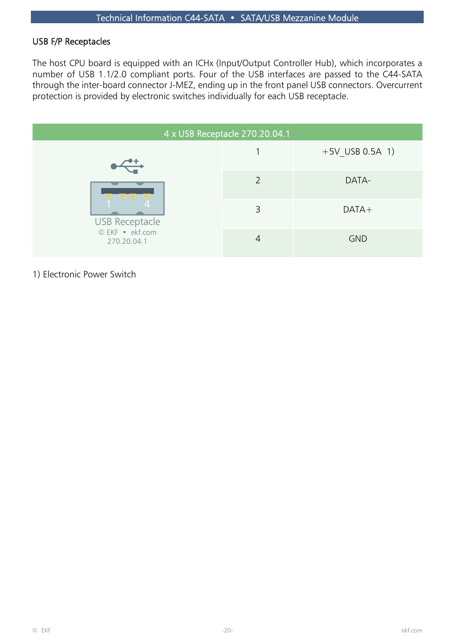## USB F/P Receptacles

The host CPU board is equipped with an ICHx (Input/Output Controller Hub), which incorporates a number of USB 1.1/2.0 compliant ports. Four of the USB interfaces are passed to the C44-SATA through the inter-board connector J-MEZ, ending up in the front panel USB connectors. Overcurrent protection is provided by electronic switches individually for each USB receptacle.

| 4 x USB Receptacle 270.20.04.1 |               |                   |  |  |  |
|--------------------------------|---------------|-------------------|--|--|--|
|                                |               | $+5V$ USB 0.5A 1) |  |  |  |
|                                | $\mathcal{P}$ | DATA-             |  |  |  |
| <b>USB Receptacle</b>          | 3             | $DATA+$           |  |  |  |
| © EKF · ekf.com<br>270.20.04.1 | 4             | <b>GND</b>        |  |  |  |

1) Electronic Power Switch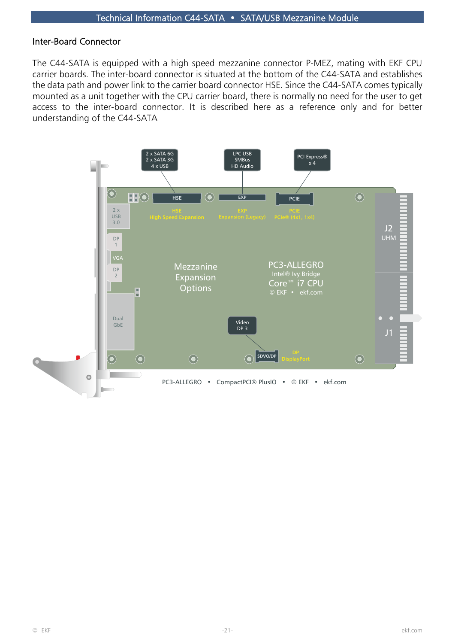#### Inter-Board Connector

The C44-SATA is equipped with a high speed mezzanine connector P-MEZ, mating with EKF CPU carrier boards. The inter-board connector is situated at the bottom of the C44-SATA and establishes the data path and power link to the carrier board connector HSE. Since the C44-SATA comes typically mounted as a unit together with the CPU carrier board, there is normally no need for the user to get access to the inter-board connector. It is described here as a reference only and for better understanding of the C44-SATA

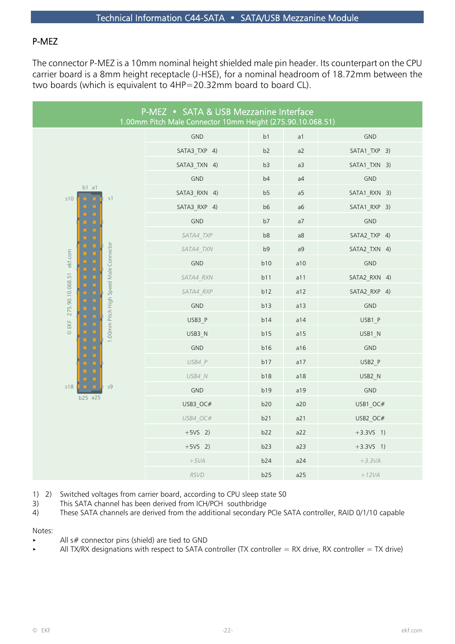## P-MEZ

The connector P-MEZ is a 10mm nominal height shielded male pin header. Its counterpart on the CPU carrier board is a 8mm height receptacle (J-HSE), for a nominal headroom of 18.72mm between the two boards (which is equivalent to 4HP=20.32mm board to board CL).

| P-MEZ • SATA & USB Mezzanine Interface<br>1.00mm Pitch Male Connector 10mm Height (275.90.10.068.51) |              |     |                |                |  |
|------------------------------------------------------------------------------------------------------|--------------|-----|----------------|----------------|--|
|                                                                                                      | GND          | b1  | a1             | GND            |  |
|                                                                                                      | SATA3_TXP 4) | b2  | a2             | SATA1_TXP 3)   |  |
|                                                                                                      | SATA3 TXN 4) | b3  | a3             | SATA1 TXN 3)   |  |
|                                                                                                      | GND          | b4  | a4             | $\mathsf{GND}$ |  |
| $b1$ a1<br>s10<br>s1                                                                                 | SATA3_RXN 4) | b5  | a <sub>5</sub> | SATA1_RXN 3)   |  |
|                                                                                                      | SATA3_RXP 4) | b6  | a6             | SATA1_RXP 3)   |  |
|                                                                                                      | GND          | b7  | a7             | <b>GND</b>     |  |
|                                                                                                      | SATA4 TXP    | b8  | a8             | SATA2 TXP 4)   |  |
|                                                                                                      | SATA4 TXN    | b9  | a9             | SATA2 TXN 4)   |  |
| ekf.com                                                                                              | GND          | b10 | a10            | GND            |  |
|                                                                                                      | SATA4 RXN    | b11 | a11            | SATA2 RXN 4)   |  |
| 1.00mm Pitch High Speed Male Connector<br>275.90.10.068.51<br>EKF<br>$\odot$                         | SATA4_RXP    | b12 | a12            | SATA2_RXP 4)   |  |
|                                                                                                      | GND          | b13 | a13            | GND            |  |
|                                                                                                      | USB3 P       | b14 | a14            | USB1 P         |  |
|                                                                                                      | USB3_N       | b15 | a15            | USB1_N         |  |
|                                                                                                      | GND          | b16 | a16            | GND            |  |
|                                                                                                      | USB4 P       | b17 | a17            | USB2 P         |  |
|                                                                                                      | USB4 N       | b18 | a18            | USB2 N         |  |
| s18<br>s9                                                                                            | GND          | b19 | a19            | GND            |  |
| b25 a25                                                                                              | USB3 OC#     | b20 | a20            | USB1 OC#       |  |
|                                                                                                      | USB4 OC#     | b21 | a21            | USB2_OC#       |  |
|                                                                                                      | $+5VS$ 2)    | b22 | a22            | $+3.3V5$ 1)    |  |
|                                                                                                      | $+5VS$ 2)    | b23 | a23            | $+3.3VS$ 1)    |  |
|                                                                                                      | $+5VA$       | b24 | a24            | $+3.3VA$       |  |
|                                                                                                      | <b>RSVD</b>  | b25 | a25            | $+12VA$        |  |

- 1) 2) Switched voltages from carrier board, according to CPU sleep state S0
- 3) This SATA channel has been derived from ICH/PCH southbridge
- 4) These SATA channels are derived from the additional secondary PCIe SATA controller, RAID 0/1/10 capable

Notes:

- All  $s#$  connector pins (shield) are tied to GND
- All TX/RX designations with respect to SATA controller (TX controller = RX drive, RX controller = TX drive)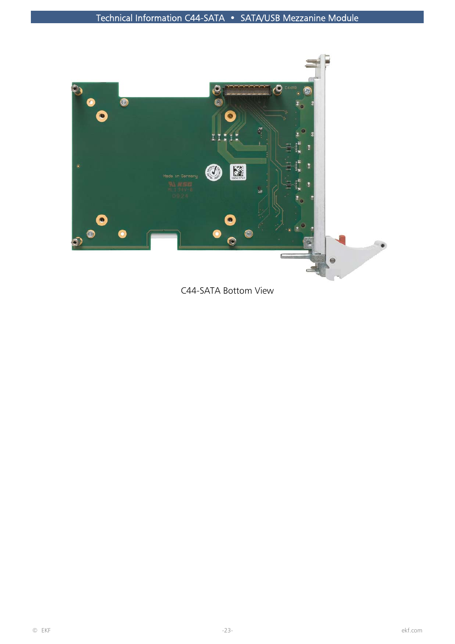

C44-SATA Bottom View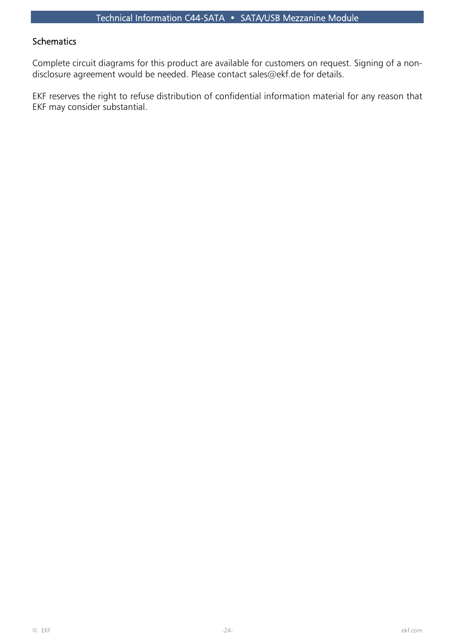#### **Schematics**

Complete circuit diagrams for this product are available for customers on request. Signing of a nondisclosure agreement would be needed. Please contact sales@ekf.de for details.

EKF reserves the right to refuse distribution of confidential information material for any reason that EKF may consider substantial.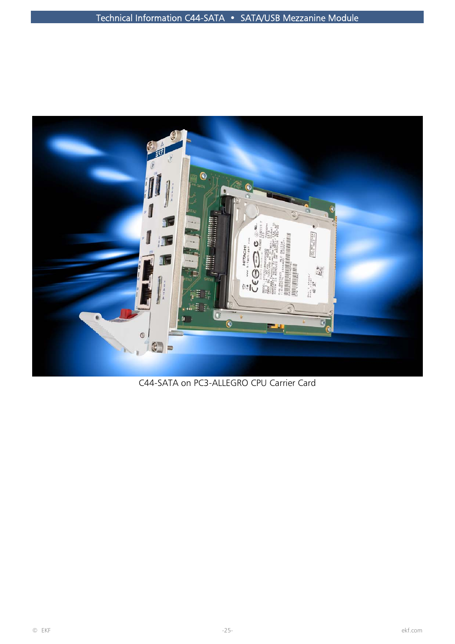

C44-SATA on PC3-ALLEGRO CPU Carrier Card